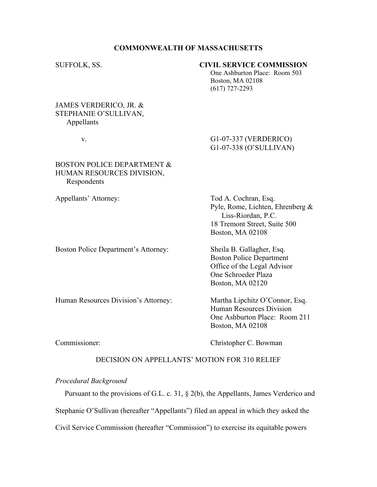### **COMMONWEALTH OF MASSACHUSETTS**

## SUFFOLK, SS. **CIVIL SERVICE COMMISSION**

One Ashburton Place: Room 503 Boston, MA 02108 (617) 727-2293

## JAMES VERDERICO, JR. & STEPHANIE O'SULLIVAN, Appellants

# v. G1-07-337 (VERDERICO) G1-07-338 (O'SULLIVAN)

### BOSTON POLICE DEPARTMENT & HUMAN RESOURCES DIVISION, Respondents

Boston Police Department's Attorney: Sheila B. Gallagher, Esq.

Human Resources Division's Attorney: Martha Lipchitz O'Connor, Esq.

Appellants' Attorney: Tod A. Cochran, Esq. Pyle, Rome, Lichten, Ehrenberg & Liss-Riordan, P.C. 18 Tremont Street, Suite 500 Boston, MA 02108

> Boston Police Department Office of the Legal Advisor One Schroeder Plaza Boston, MA 02120

Human Resources Division One Ashburton Place: Room 211 Boston, MA 02108

Commissioner: Christopher C. Bowman

# DECISION ON APPELLANTS' MOTION FOR 310 RELIEF

*Procedural Background*

 Pursuant to the provisions of G.L. c. 31, § 2(b), the Appellants, James Verderico and Stephanie O'Sullivan (hereafter "Appellants") filed an appeal in which they asked the Civil Service Commission (hereafter "Commission") to exercise its equitable powers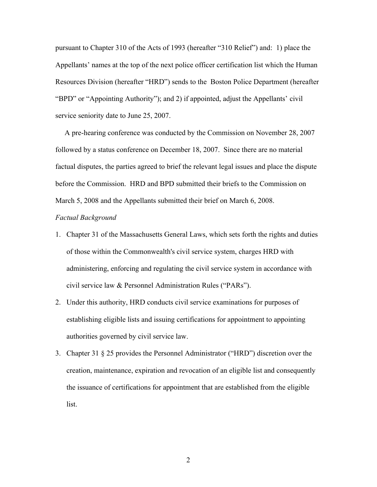pursuant to Chapter 310 of the Acts of 1993 (hereafter "310 Relief") and: 1) place the Appellants' names at the top of the next police officer certification list which the Human Resources Division (hereafter "HRD") sends to the Boston Police Department (hereafter "BPD" or "Appointing Authority"); and 2) if appointed, adjust the Appellants' civil service seniority date to June 25, 2007.

 A pre-hearing conference was conducted by the Commission on November 28, 2007 followed by a status conference on December 18, 2007. Since there are no material factual disputes, the parties agreed to brief the relevant legal issues and place the dispute before the Commission. HRD and BPD submitted their briefs to the Commission on March 5, 2008 and the Appellants submitted their brief on March 6, 2008.

#### *Factual Background*

- 1. Chapter 31 of the Massachusetts General Laws, which sets forth the rights and duties of those within the Commonwealth's civil service system, charges HRD with administering, enforcing and regulating the civil service system in accordance with civil service law  $&$  Personnel Administration Rules ("PARs").
- 2. Under this authority, HRD conducts civil service examinations for purposes of establishing eligible lists and issuing certifications for appointment to appointing authorities governed by civil service law.
- 3. Chapter 31  $\S 25$  provides the Personnel Administrator ("HRD") discretion over the creation, maintenance, expiration and revocation of an eligible list and consequently the issuance of certifications for appointment that are established from the eligible list.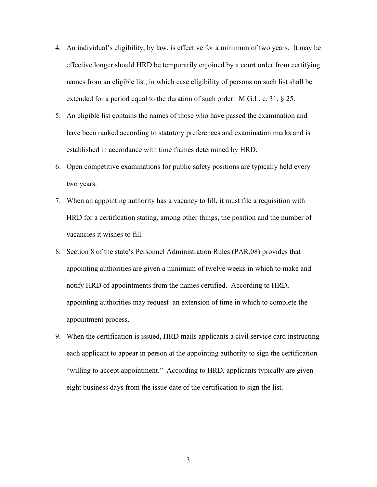- 4. An individual's eligibility, by law, is effective for a minimum of two years. It may be effective longer should HRD be temporarily enjoined by a court order from certifying names from an eligible list, in which case eligibility of persons on such list shall be extended for a period equal to the duration of such order. M.G.L. c. 31, § 25.
- 5. An eligible list contains the names of those who have passed the examination and have been ranked according to statutory preferences and examination marks and is established in accordance with time frames determined by HRD.
- 6. Open competitive examinations for public safety positions are typically held every two years.
- 7. When an appointing authority has a vacancy to fill, it must file a requisition with HRD for a certification stating, among other things, the position and the number of vacancies it wishes to fill.
- 8. Section 8 of the state's Personnel Administration Rules (PAR.08) provides that appointing authorities are given a minimum of twelve weeks in which to make and notify HRD of appointments from the names certified. According to HRD, appointing authorities may request an extension of time in which to complete the appointment process.
- 9. When the certification is issued, HRD mails applicants a civil service card instructing each applicant to appear in person at the appointing authority to sign the certification "willing to accept appointment." According to HRD, applicants typically are given eight business days from the issue date of the certification to sign the list.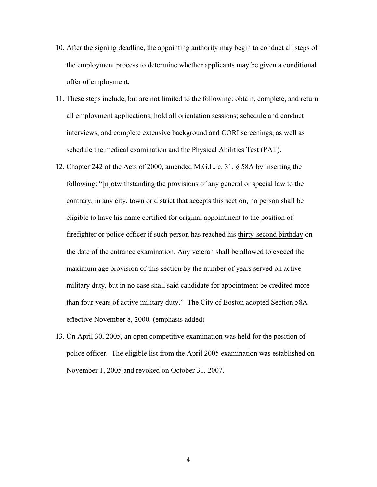- 10. After the signing deadline, the appointing authority may begin to conduct all steps of the employment process to determine whether applicants may be given a conditional offer of employment.
- 11. These steps include, but are not limited to the following: obtain, complete, and return all employment applications; hold all orientation sessions; schedule and conduct interviews; and complete extensive background and CORI screenings, as well as schedule the medical examination and the Physical Abilities Test (PAT).
- 12. Chapter 242 of the Acts of 2000, amended M.G.L. c. 31, § 58A by inserting the following: "[n]otwithstanding the provisions of any general or special law to the contrary, in any city, town or district that accepts this section, no person shall be eligible to have his name certified for original appointment to the position of firefighter or police officer if such person has reached his thirty-second birthday on the date of the entrance examination. Any veteran shall be allowed to exceed the maximum age provision of this section by the number of years served on active military duty, but in no case shall said candidate for appointment be credited more than four years of active military duty.´ The City of Boston adopted Section 58A effective November 8, 2000. (emphasis added)
- 13. On April 30, 2005, an open competitive examination was held for the position of police officer. The eligible list from the April 2005 examination was established on November 1, 2005 and revoked on October 31, 2007.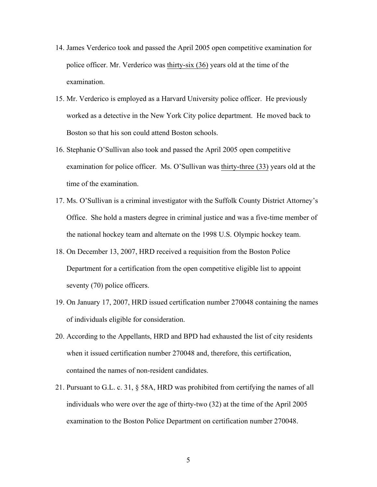- 14. James Verderico took and passed the April 2005 open competitive examination for police officer. Mr. Verderico was thirty-six (36) years old at the time of the examination.
- 15. Mr. Verderico is employed as a Harvard University police officer. He previously worked as a detective in the New York City police department. He moved back to Boston so that his son could attend Boston schools.
- 16. Stephanie O'Sullivan also took and passed the April 2005 open competitive examination for police officer. Ms. O'Sullivan was thirty-three (33) years old at the time of the examination.
- 17. Ms. O'Sullivan is a criminal investigator with the Suffolk County District Attorney's Office. She hold a masters degree in criminal justice and was a five-time member of the national hockey team and alternate on the 1998 U.S. Olympic hockey team.
- 18. On December 13, 2007, HRD received a requisition from the Boston Police Department for a certification from the open competitive eligible list to appoint seventy (70) police officers.
- 19. On January 17, 2007, HRD issued certification number 270048 containing the names of individuals eligible for consideration.
- 20. According to the Appellants, HRD and BPD had exhausted the list of city residents when it issued certification number 270048 and, therefore, this certification, contained the names of non-resident candidates.
- 21. Pursuant to G.L. c. 31, § 58A, HRD was prohibited from certifying the names of all individuals who were over the age of thirty-two (32) at the time of the April 2005 examination to the Boston Police Department on certification number 270048.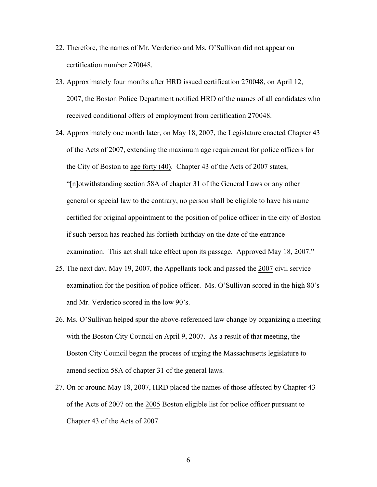- 22. Therefore, the names of Mr. Verderico and Ms. O'Sullivan did not appear on certification number 270048.
- 23. Approximately four months after HRD issued certification 270048, on April 12, 2007, the Boston Police Department notified HRD of the names of all candidates who received conditional offers of employment from certification 270048.
- 24. Approximately one month later, on May 18, 2007, the Legislature enacted Chapter 43 of the Acts of 2007, extending the maximum age requirement for police officers for the City of Boston to age forty (40). Chapter 43 of the Acts of 2007 states, "[n]otwithstanding section 58A of chapter 31 of the General Laws or any other general or special law to the contrary, no person shall be eligible to have his name certified for original appointment to the position of police officer in the city of Boston if such person has reached his fortieth birthday on the date of the entrance examination. This act shall take effect upon its passage. Approved May 18, 2007."
- 25. The next day, May 19, 2007, the Appellants took and passed the 2007 civil service examination for the position of police officer. Ms. O'Sullivan scored in the high 80's and Mr. Verderico scored in the low 90's.
- 26. Ms. O'Sullivan helped spur the above-referenced law change by organizing a meeting with the Boston City Council on April 9, 2007. As a result of that meeting, the Boston City Council began the process of urging the Massachusetts legislature to amend section 58A of chapter 31 of the general laws.
- 27. On or around May 18, 2007, HRD placed the names of those affected by Chapter 43 of the Acts of 2007 on the 2005 Boston eligible list for police officer pursuant to Chapter 43 of the Acts of 2007.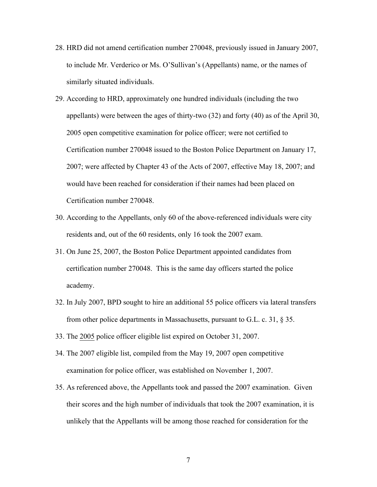- 28. HRD did not amend certification number 270048, previously issued in January 2007, to include Mr. Verderico or Ms. O'Sullivan's (Appellants) name, or the names of similarly situated individuals.
- 29. According to HRD, approximately one hundred individuals (including the two appellants) were between the ages of thirty-two (32) and forty (40) as of the April 30, 2005 open competitive examination for police officer; were not certified to Certification number 270048 issued to the Boston Police Department on January 17, 2007; were affected by Chapter 43 of the Acts of 2007, effective May 18, 2007; and would have been reached for consideration if their names had been placed on Certification number 270048.
- 30. According to the Appellants, only 60 of the above-referenced individuals were city residents and, out of the 60 residents, only 16 took the 2007 exam.
- 31. On June 25, 2007, the Boston Police Department appointed candidates from certification number 270048. This is the same day officers started the police academy.
- 32. In July 2007, BPD sought to hire an additional 55 police officers via lateral transfers from other police departments in Massachusetts, pursuant to G.L. c. 31, § 35.
- 33. The 2005 police officer eligible list expired on October 31, 2007.
- 34. The 2007 eligible list, compiled from the May 19, 2007 open competitive examination for police officer, was established on November 1, 2007.
- 35. As referenced above, the Appellants took and passed the 2007 examination. Given their scores and the high number of individuals that took the 2007 examination, it is unlikely that the Appellants will be among those reached for consideration for the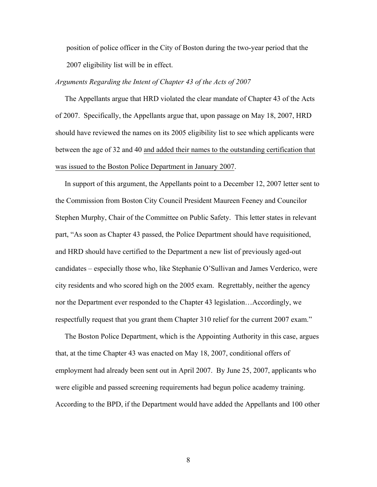position of police officer in the City of Boston during the two-year period that the 2007 eligibility list will be in effect.

### *Arguments Regarding the Intent of Chapter 43 of the Acts of 2007*

 The Appellants argue that HRD violated the clear mandate of Chapter 43 of the Acts of 2007. Specifically, the Appellants argue that, upon passage on May 18, 2007, HRD should have reviewed the names on its 2005 eligibility list to see which applicants were between the age of 32 and 40 and added their names to the outstanding certification that was issued to the Boston Police Department in January 2007.

 In support of this argument, the Appellants point to a December 12, 2007 letter sent to the Commission from Boston City Council President Maureen Feeney and Councilor Stephen Murphy, Chair of the Committee on Public Safety. This letter states in relevant part, "As soon as Chapter 43 passed, the Police Department should have requisitioned, and HRD should have certified to the Department a new list of previously aged-out  $c$ andidates  $-$  especially those who, like Stephanie O'Sullivan and James Verderico, were city residents and who scored high on the 2005 exam. Regrettably, neither the agency nor the Department ever responded to the Chapter 43 legislation...Accordingly, we respectfully request that you grant them Chapter 310 relief for the current 2007 exam.<sup>"</sup>

 The Boston Police Department, which is the Appointing Authority in this case, argues that, at the time Chapter 43 was enacted on May 18, 2007, conditional offers of employment had already been sent out in April 2007. By June 25, 2007, applicants who were eligible and passed screening requirements had begun police academy training. According to the BPD, if the Department would have added the Appellants and 100 other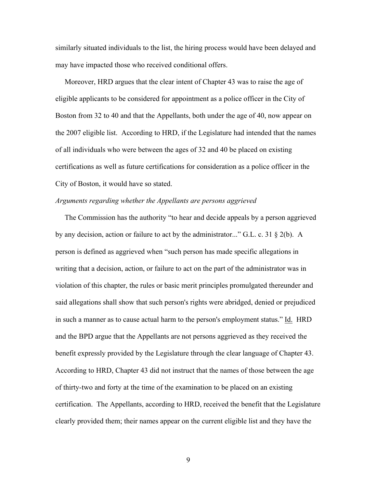similarly situated individuals to the list, the hiring process would have been delayed and may have impacted those who received conditional offers.

 Moreover, HRD argues that the clear intent of Chapter 43 was to raise the age of eligible applicants to be considered for appointment as a police officer in the City of Boston from 32 to 40 and that the Appellants, both under the age of 40, now appear on the 2007 eligible list. According to HRD, if the Legislature had intended that the names of all individuals who were between the ages of 32 and 40 be placed on existing certifications as well as future certifications for consideration as a police officer in the City of Boston, it would have so stated.

## *Arguments regarding whether the Appellants are persons aggrieved*

The Commission has the authority "to hear and decide appeals by a person aggrieved by any decision, action or failure to act by the administrator..." G.L. c. 31  $\S$  2(b). A person is defined as aggrieved when "such person has made specific allegations in writing that a decision, action, or failure to act on the part of the administrator was in violation of this chapter, the rules or basic merit principles promulgated thereunder and said allegations shall show that such person's rights were abridged, denied or prejudiced in such a manner as to cause actual harm to the person's employment status."  $\underline{Id}$ . HRD and the BPD argue that the Appellants are not persons aggrieved as they received the benefit expressly provided by the Legislature through the clear language of Chapter 43. According to HRD, Chapter 43 did not instruct that the names of those between the age of thirty-two and forty at the time of the examination to be placed on an existing certification. The Appellants, according to HRD, received the benefit that the Legislature clearly provided them; their names appear on the current eligible list and they have the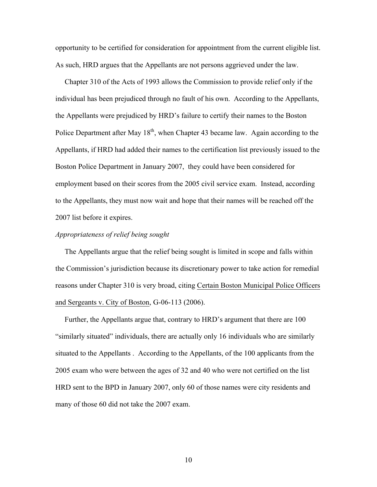opportunity to be certified for consideration for appointment from the current eligible list. As such, HRD argues that the Appellants are not persons aggrieved under the law.

 Chapter 310 of the Acts of 1993 allows the Commission to provide relief only if the individual has been prejudiced through no fault of his own. According to the Appellants, the Appellants were prejudiced by HRD's failure to certify their names to the Boston Police Department after May  $18<sup>th</sup>$ , when Chapter 43 became law. Again according to the Appellants, if HRD had added their names to the certification list previously issued to the Boston Police Department in January 2007, they could have been considered for employment based on their scores from the 2005 civil service exam. Instead, according to the Appellants, they must now wait and hope that their names will be reached off the 2007 list before it expires.

# *Appropriateness of relief being sought*

 The Appellants argue that the relief being sought is limited in scope and falls within the Commission's jurisdiction because its discretionary power to take action for remedial reasons under Chapter 310 is very broad, citing Certain Boston Municipal Police Officers and Sergeants v. City of Boston, G-06-113 (2006).

Further, the Appellants argue that, contrary to HRD's argument that there are 100 "similarly situated" individuals, there are actually only 16 individuals who are similarly situated to the Appellants . According to the Appellants, of the 100 applicants from the 2005 exam who were between the ages of 32 and 40 who were not certified on the list HRD sent to the BPD in January 2007, only 60 of those names were city residents and many of those 60 did not take the 2007 exam.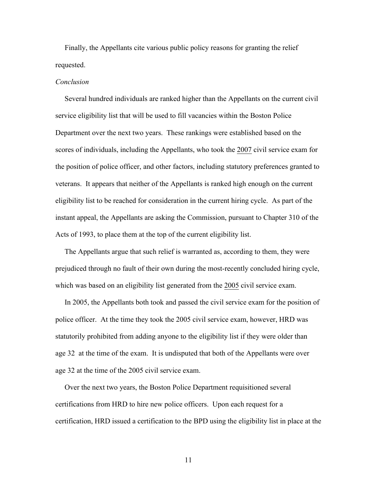Finally, the Appellants cite various public policy reasons for granting the relief requested.

### *Conclusion*

 Several hundred individuals are ranked higher than the Appellants on the current civil service eligibility list that will be used to fill vacancies within the Boston Police Department over the next two years. These rankings were established based on the scores of individuals, including the Appellants, who took the 2007 civil service exam for the position of police officer, and other factors, including statutory preferences granted to veterans. It appears that neither of the Appellants is ranked high enough on the current eligibility list to be reached for consideration in the current hiring cycle. As part of the instant appeal, the Appellants are asking the Commission, pursuant to Chapter 310 of the Acts of 1993, to place them at the top of the current eligibility list.

 The Appellants argue that such relief is warranted as, according to them, they were prejudiced through no fault of their own during the most-recently concluded hiring cycle, which was based on an eligibility list generated from the 2005 civil service exam.

 In 2005, the Appellants both took and passed the civil service exam for the position of police officer. At the time they took the 2005 civil service exam, however, HRD was statutorily prohibited from adding anyone to the eligibility list if they were older than age 32 at the time of the exam. It is undisputed that both of the Appellants were over age 32 at the time of the 2005 civil service exam.

 Over the next two years, the Boston Police Department requisitioned several certifications from HRD to hire new police officers. Upon each request for a certification, HRD issued a certification to the BPD using the eligibility list in place at the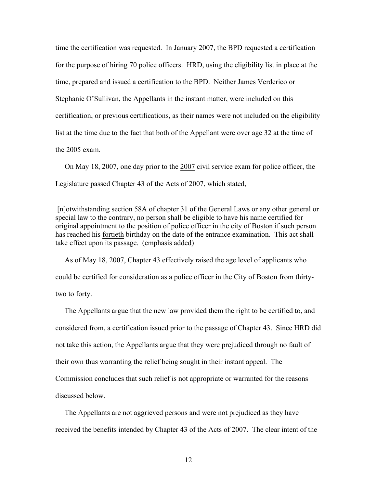time the certification was requested. In January 2007, the BPD requested a certification for the purpose of hiring 70 police officers. HRD, using the eligibility list in place at the time, prepared and issued a certification to the BPD. Neither James Verderico or Stephanie O'Sullivan, the Appellants in the instant matter, were included on this certification, or previous certifications, as their names were not included on the eligibility list at the time due to the fact that both of the Appellant were over age 32 at the time of the 2005 exam.

 On May 18, 2007, one day prior to the 2007 civil service exam for police officer, the Legislature passed Chapter 43 of the Acts of 2007, which stated,

 [n]otwithstanding section 58A of chapter 31 of the General Laws or any other general or special law to the contrary, no person shall be eligible to have his name certified for original appointment to the position of police officer in the city of Boston if such person has reached his fortieth birthday on the date of the entrance examination. This act shall take effect upon its passage. (emphasis added)

 As of May 18, 2007, Chapter 43 effectively raised the age level of applicants who could be certified for consideration as a police officer in the City of Boston from thirtytwo to forty.

 The Appellants argue that the new law provided them the right to be certified to, and considered from, a certification issued prior to the passage of Chapter 43. Since HRD did not take this action, the Appellants argue that they were prejudiced through no fault of their own thus warranting the relief being sought in their instant appeal. The Commission concludes that such relief is not appropriate or warranted for the reasons discussed below.

 The Appellants are not aggrieved persons and were not prejudiced as they have received the benefits intended by Chapter 43 of the Acts of 2007. The clear intent of the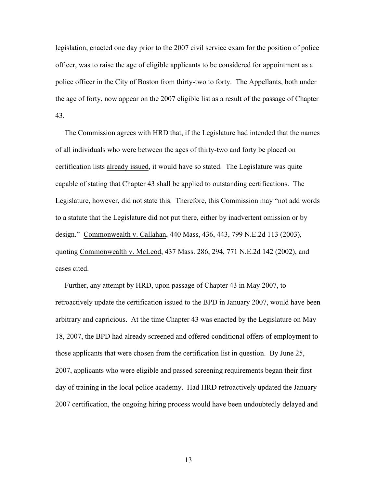legislation, enacted one day prior to the 2007 civil service exam for the position of police officer, was to raise the age of eligible applicants to be considered for appointment as a police officer in the City of Boston from thirty-two to forty. The Appellants, both under the age of forty, now appear on the 2007 eligible list as a result of the passage of Chapter 43.

 The Commission agrees with HRD that, if the Legislature had intended that the names of all individuals who were between the ages of thirty-two and forty be placed on certification lists already issued, it would have so stated. The Legislature was quite capable of stating that Chapter 43 shall be applied to outstanding certifications. The Legislature, however, did not state this. Therefore, this Commission may "not add words to a statute that the Legislature did not put there, either by inadvertent omission or by design." Commonwealth v. Callahan, 440 Mass, 436, 443, 799 N.E.2d 113 (2003), quoting Commonwealth v. McLeod, 437 Mass. 286, 294, 771 N.E.2d 142 (2002), and cases cited.

 Further, any attempt by HRD, upon passage of Chapter 43 in May 2007, to retroactively update the certification issued to the BPD in January 2007, would have been arbitrary and capricious. At the time Chapter 43 was enacted by the Legislature on May 18, 2007, the BPD had already screened and offered conditional offers of employment to those applicants that were chosen from the certification list in question. By June 25, 2007, applicants who were eligible and passed screening requirements began their first day of training in the local police academy. Had HRD retroactively updated the January 2007 certification, the ongoing hiring process would have been undoubtedly delayed and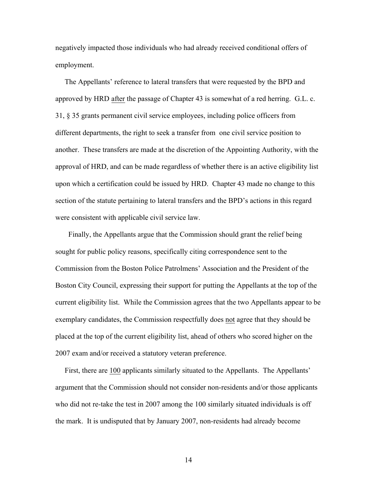negatively impacted those individuals who had already received conditional offers of employment.

The Appellants' reference to lateral transfers that were requested by the BPD and approved by HRD after the passage of Chapter 43 is somewhat of a red herring. G.L. c. 31, § 35 grants permanent civil service employees, including police officers from different departments, the right to seek a transfer from one civil service position to another. These transfers are made at the discretion of the Appointing Authority, with the approval of HRD, and can be made regardless of whether there is an active eligibility list upon which a certification could be issued by HRD. Chapter 43 made no change to this section of the statute pertaining to lateral transfers and the BPD's actions in this regard were consistent with applicable civil service law.

 Finally, the Appellants argue that the Commission should grant the relief being sought for public policy reasons, specifically citing correspondence sent to the Commission from the Boston Police Patrolmens' Association and the President of the Boston City Council, expressing their support for putting the Appellants at the top of the current eligibility list. While the Commission agrees that the two Appellants appear to be exemplary candidates, the Commission respectfully does not agree that they should be placed at the top of the current eligibility list, ahead of others who scored higher on the 2007 exam and/or received a statutory veteran preference.

First, there are 100 applicants similarly situated to the Appellants. The Appellants' argument that the Commission should not consider non-residents and/or those applicants who did not re-take the test in 2007 among the 100 similarly situated individuals is off the mark. It is undisputed that by January 2007, non-residents had already become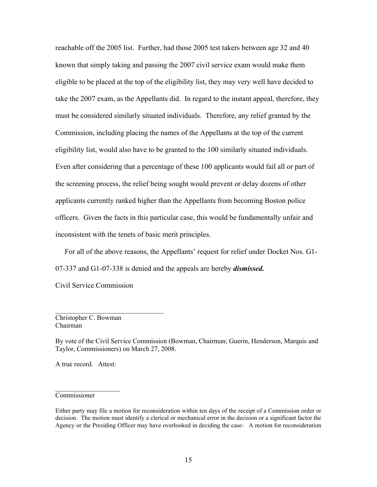reachable off the 2005 list. Further, had those 2005 test takers between age 32 and 40 known that simply taking and passing the 2007 civil service exam would make them eligible to be placed at the top of the eligibility list, they may very well have decided to take the 2007 exam, as the Appellants did. In regard to the instant appeal, therefore, they must be considered similarly situated individuals. Therefore, any relief granted by the Commission, including placing the names of the Appellants at the top of the current eligibility list, would also have to be granted to the 100 similarly situated individuals. Even after considering that a percentage of these 100 applicants would fail all or part of the screening process, the relief being sought would prevent or delay dozens of other applicants currently ranked higher than the Appellants from becoming Boston police officers. Given the facts in this particular case, this would be fundamentally unfair and inconsistent with the tenets of basic merit principles.

For all of the above reasons, the Appellants' request for relief under Docket Nos. G1-07-337 and G1-07-338 is denied and the appeals are hereby *dismissed.*

Civil Service Commission

 $\mathcal{L}_\text{max}$ 

Christopher C. Bowman Chairman

By vote of the Civil Service Commission (Bowman, Chairman; Guerin, Henderson, Marquis and Taylor, Commissioners) on March 27, 2008.

A true record. Attest:

#### Commissioner

Either party may file a motion for reconsideration within ten days of the receipt of a Commission order or decision. The motion must identify a clerical or mechanical error in the decision or a significant factor the Agency or the Presiding Officer may have overlooked in deciding the case. A motion for reconsideration